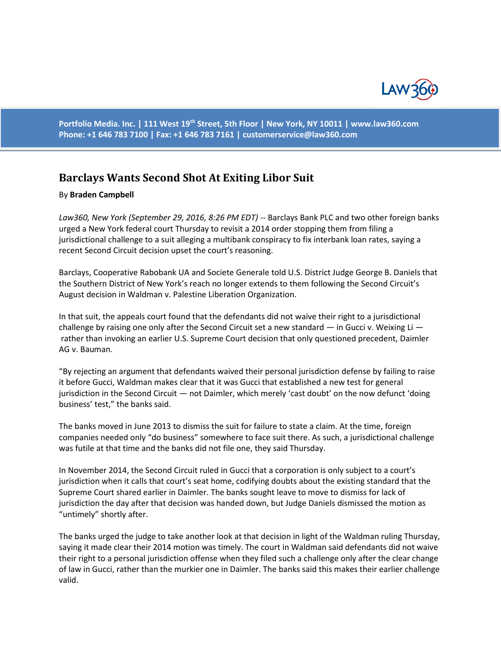

**Portfolio Media. Inc. | 111 West 19th Street, 5th Floor | New York, NY 10011 | www.law360.com Phone: +1 646 783 7100 | Fax: +1 646 783 7161 | [customerservice@law360.com](mailto:customerservice@law360.com)**

## **Barclays Wants Second Shot At Exiting Libor Suit**

## By **Braden Campbell**

*Law360, New York (September 29, 2016, 8:26 PM EDT)* -- Barclays Bank PLC and two other foreign banks urged a New York federal court Thursday to revisit a 2014 order stopping them from filing a jurisdictional challenge to a suit alleging a multibank conspiracy to fix interbank loan rates, saying a recent Second Circuit decision upset the court's reasoning.

Barclays, Cooperative Rabobank UA and Societe Generale told U.S. District Judge George B. Daniels that the Southern District of New York's reach no longer extends to them following the Second Circuit's August decision in Waldman v. Palestine Liberation Organization.

In that suit, the appeals court found that the defendants did not waive their right to a jurisdictional challenge by raising one only after the Second Circuit set a new standard  $-$  in Gucci v. Weixing Li  $$ rather than invoking an earlier U.S. Supreme Court decision that only questioned precedent, Daimler AG v. Bauman.

"By rejecting an argument that defendants waived their personal jurisdiction defense by failing to raise it before Gucci, Waldman makes clear that it was Gucci that established a new test for general jurisdiction in the Second Circuit — not Daimler, which merely 'cast doubt' on the now defunct 'doing business' test," the banks said.

The banks moved in June 2013 to dismiss the suit for failure to state a claim. At the time, foreign companies needed only "do business" somewhere to face suit there. As such, a jurisdictional challenge was futile at that time and the banks did not file one, they said Thursday.

In November 2014, the Second Circuit ruled in Gucci that a corporation is only subject to a court's jurisdiction when it calls that court's seat home, codifying doubts about the existing standard that the Supreme Court shared earlier in Daimler. The banks sought leave to move to dismiss for lack of jurisdiction the day after that decision was handed down, but Judge Daniels dismissed the motion as "untimely" shortly after.

The banks urged the judge to take another look at that decision in light of the Waldman ruling Thursday, saying it made clear their 2014 motion was timely. The court in Waldman said defendants did not waive their right to a personal jurisdiction offense when they filed such a challenge only after the clear change of law in Gucci, rather than the murkier one in Daimler. The banks said this makes their earlier challenge valid.